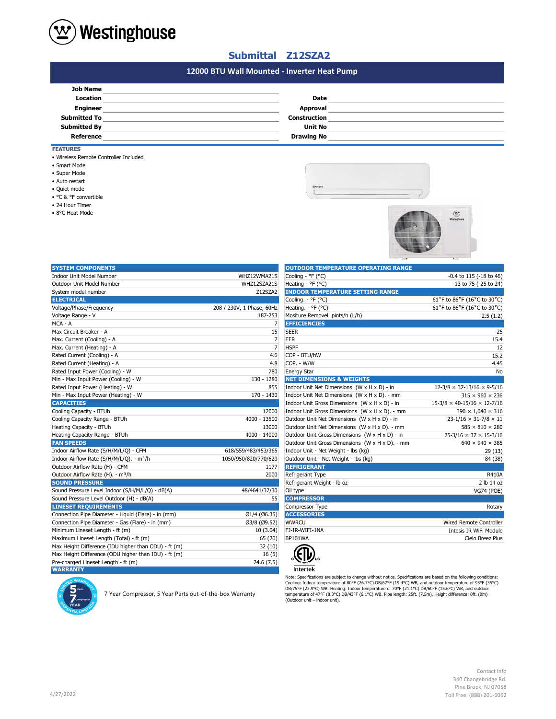

• Super Mode

• Auto restart • Quiet mode • °C & °F convertible

• 24 Hour Timer • 8°C Heat Mode

• Smart Mode

• Wireless Remote Controller Included

## **Submittal Z12SZA2**

## **#N/A 12000 BTU Wall Mounted - Inverter Heat Pump**

| <b>Job Name</b>     |                     |  |
|---------------------|---------------------|--|
| <b>Location</b>     | <b>Date</b>         |  |
| <b>Engineer</b>     | <b>Approval</b>     |  |
| <b>Submitted To</b> | <b>Construction</b> |  |
| <b>Submitted By</b> | <b>Unit No</b>      |  |
| Reference           | <b>Drawing No</b>   |  |
| <b>FEATURES</b>     |                     |  |





| <b>SYSTEM COMPONENTS</b>                             |                           | <b>OUTDOOR TEMPERATURE OPERATING RANGE</b>      |                                         |
|------------------------------------------------------|---------------------------|-------------------------------------------------|-----------------------------------------|
| Indoor Unit Model Number                             | WHZ12WMA21S               | Cooling - °F (°C)                               | -0.4 to 115 (-18 to 46)                 |
| Outdoor Unit Model Number                            | WHZ12SZA21S               | Heating - °F (°C)                               | -13 to 75 (-25 to 24)                   |
| System model number                                  | Z12SZA2                   | <b>INDOOR TEMPERATURE SETTING RANGE</b>         |                                         |
| <b>ELECTRICAL</b>                                    |                           | Cooling. - °F (°C)                              | 61°F to 86°F (16°C to 30°C)             |
| Voltage/Phase/Frequency                              | 208 / 230V, 1-Phase, 60Hz | Heating. $-$ °F (°C)                            | 61°F to 86°F (16°C to 30°C)             |
| Voltage Range - V                                    | 187-253                   | Mositure Removel pints/h (L/h)                  | 2.5(1.2)                                |
| MCA - A                                              | 7                         | <b>EFFICIENCIES</b>                             |                                         |
| Max Circuit Breaker - A                              | 15                        | <b>SEER</b>                                     | 25                                      |
| Max. Current (Cooling) - A                           | $\overline{7}$            | EER                                             | 15.4                                    |
| Max. Current (Heating) - A                           | 7                         | <b>HSPF</b>                                     | 12                                      |
| Rated Current (Cooling) - A                          | 4.6                       | COP - BTU/hW                                    | 15.2                                    |
| Rated Current (Heating) - A                          | 4.8                       | COP. - W/W                                      | 4.45                                    |
| Rated Input Power (Cooling) - W                      | 780                       | <b>Energy Star</b>                              | No                                      |
| Min - Max Input Power (Cooling) - W                  | 130 - 1280                | <b>NET DIMENSIONS &amp; WEIGHTS</b>             |                                         |
| Rated Input Power (Heating) - W                      | 855                       | Indoor Unit Net Dimensions (W x H x D) - in     | $12-3/8 \times 37-13/16 \times 9-5/16$  |
| Min - Max Input Power (Heating) - W                  | 170 - 1430                | Indoor Unit Net Dimensions (W x H x D). - mm    | $315 \times 960 \times 236$             |
| <b>CAPACITIES</b>                                    |                           | Indoor Unit Gross Dimensions (W x H x D) - in   | $15-3/8 \times 40-15/16 \times 12-7/16$ |
| Cooling Capacity - BTUh                              | 12000                     | Indoor Unit Gross Dimensions (W x H x D). - mm  | $390 \times 1,040 \times 316$           |
| Cooling Capacity Range - BTUh                        | 4000 - 13500              | Outdoor Unit Net Dimensions (W x H x D) - in    | $23 - 1/16 \times 31 - 7/8 \times 11$   |
| Heating Capacity - BTUh                              | 13000                     | Outdoor Unit Net Dimensions (W x H x D). - mm   | $585 \times 810 \times 280$             |
| Heating Capacity Range - BTUh                        | 4000 - 14000              | Outdoor Unit Gross Dimensions (W x H x D) - in  | $25-3/16 \times 37 \times 15-3/16$      |
| <b>FAN SPEEDS</b>                                    |                           | Outdoor Unit Gross Dimensions (W x H x D). - mm | $640 \times 940 \times 385$             |
| Indoor Airflow Rate (S/H/M/L/Q) - CFM                | 618/559/483/453/365       | Indoor Unit - Net Weight - lbs (kg)             | 29(13)                                  |
| Indoor Airflow Rate (S/H/M/L/Q). - m <sup>3</sup> /h | 1050/950/820/770/620      | Outdoor Unit - Net Weight - Ibs (kg)            | 84 (38)                                 |
| Outdoor Airflow Rate (H) - CFM                       | 1177                      | <b>REFRIGERANT</b>                              |                                         |
| Outdoor Airflow Rate (H). - m <sup>3</sup> /h        | 2000                      | Refrigerant Type                                | R410A                                   |
| <b>SOUND PRESSURE</b>                                |                           | Refrigerant Weight - Ib oz                      | 2 lb 14 oz                              |
| Sound Pressure Level Indoor (S/H/M/L/Q) - dB(A)      | 48/4641/37/30             | Oil type                                        | <b>VG74 (POE)</b>                       |
| Sound Pressure Level Outdoor (H) - dB(A)             | 55                        | <b>COMPRESSOR</b>                               |                                         |
| <b>LINESET REQUIREMENTS</b>                          |                           | Compressor Type                                 | Rotary                                  |
| Connection Pipe Diameter - Liquid (Flare) - in (mm)  | Ø1/4 (Ø6.35)              | <b>ACCESSORIES</b>                              |                                         |
| Connection Pipe Diameter - Gas (Flare) - in (mm)     | Ø3/8 (Ø9.52)              | <b>WWRCU</b>                                    | Wired Remote Controller                 |
| Minimum Lineset Length - ft (m)                      | 10 (3.04)                 | FJ-IR-WIFI-1NA                                  | Intesis IR WiFi Module                  |
| Maximum Lineset Length (Total) - ft (m)              | 65 (20)                   | <b>BP101WA</b>                                  | Cielo Breez Plus                        |
| Max Height Difference (IDU higher than ODU) - ft (m) | 32(10)                    |                                                 |                                         |
| Max Height Difference (ODU higher than IDU) - ft (m) | 16(5)                     |                                                 |                                         |
| Pre-charged Lineset Length - ft (m)                  | 24.6 (7.5)                |                                                 |                                         |
| <b>WARRANTY</b>                                      |                           | <b>Intertek</b>                                 |                                         |

| <b>OUTDOOK TEMPERATURE OF ERATING RANGE</b>     |                                         |
|-------------------------------------------------|-----------------------------------------|
| Cooling - °F (°C)                               | $-0.4$ to 115 ( $-18$ to 46)            |
| Heating - °F (°C)                               | -13 to 75 (-25 to 24)                   |
| <b>INDOOR TEMPERATURE SETTING RANGE</b>         |                                         |
| Cooling. - °F (°C)                              | 61°F to 86°F (16°C to 30°C)             |
| Heating. - ${}^{\circ}$ F ( ${}^{\circ}$ C)     | 61°F to 86°F (16°C to 30°C)             |
| Mositure Removel pints/h (L/h)                  | 2.5(1.2)                                |
| <b>EFFICIENCIES</b>                             |                                         |
| <b>SEER</b>                                     | 25                                      |
| EER                                             | 15.4                                    |
| <b>HSPF</b>                                     | 12                                      |
| COP - BTU/hW                                    | 15.2                                    |
| COP. - W/W                                      | 4.45                                    |
| <b>Energy Star</b>                              | No                                      |
| <b>NET DIMENSIONS &amp; WEIGHTS</b>             |                                         |
| Indoor Unit Net Dimensions (W x H x D) - in     | $12-3/8 \times 37-13/16 \times 9-5/16$  |
| Indoor Unit Net Dimensions (W x H x D). - mm    | $315 \times 960 \times 236$             |
| Indoor Unit Gross Dimensions (W x H x D) - in   | $15-3/8 \times 40-15/16 \times 12-7/16$ |
| Indoor Unit Gross Dimensions (W x H x D). - mm  | $390 \times 1,040 \times 316$           |
| Outdoor Unit Net Dimensions (W x H x D) - in    | $23 - 1/16 \times 31 - 7/8 \times 11$   |
| Outdoor Unit Net Dimensions (W x H x D). - mm   | $585 \times 810 \times 280$             |
| Outdoor Unit Gross Dimensions (W x H x D) - in  | $25-3/16 \times 37 \times 15-3/16$      |
| Outdoor Unit Gross Dimensions (W x H x D). - mm | $640 \times 940 \times 385$             |
| Indoor Unit - Net Weight - lbs (kg)             | 29(13)                                  |
| Outdoor Unit - Net Weight - lbs (kg)            | 84 (38)                                 |
| <b>REFRIGERANT</b>                              |                                         |
| Refrigerant Type                                | R410A                                   |
| Refrigerant Weight - Ib oz                      | 2 lb 14 oz                              |
| Oil type                                        | <b>VG74 (POE)</b>                       |
| <b>COMPRESSOR</b>                               |                                         |
| Compressor Type                                 | Rotary                                  |
| <b>ACCESSORIES</b>                              |                                         |
| <b>WWRCU</b>                                    | Wired Remote Controller                 |
| FJ-IR-WIFI-1NA                                  | Intesis IR WiFi Module                  |
| BP101WA                                         | Cielo Breez Plus                        |
|                                                 |                                         |



Note: Specifications are subject to change without notice. Specifications are based on the following conditions:<br>Cooling: Indoor temperature of 80°F (26.7°C) DB/67°F (19.4°C) WB, and outdoor temperature of 95°F (35°C)<br>DB/7



7 Year Compressor, 5 Year Parts out-of-the-box Warranty

Contact Info 340 Changebridge Rd. Pine Brook, NJ 07058 Toll Free: (888) 201-6062